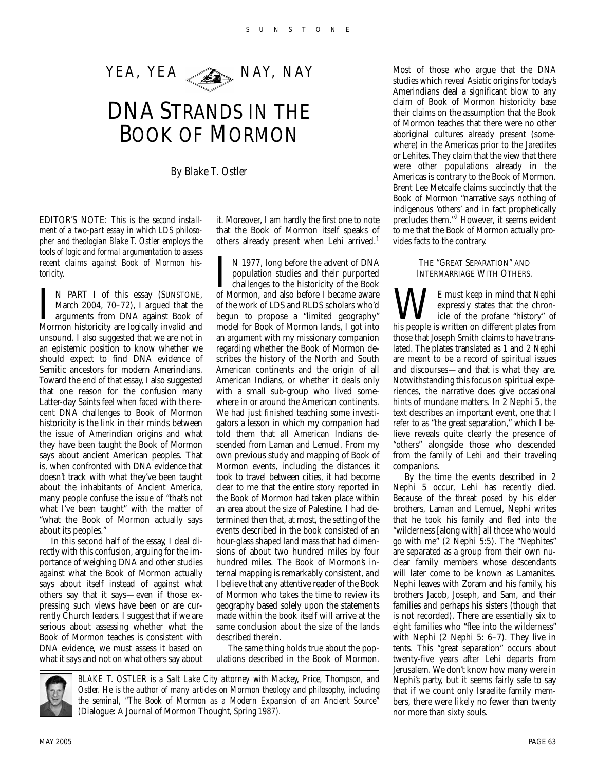

# DNA STRANDS IN THE BOOK OF MORMON

*By Blake T. Ostler*

EDITOR'S NOTE: *This is the second installment of a two-part essay in which LDS philosopher and theologian Blake T. Ostler employs the tools of logic and formal argumentation to assess recent claims against Book of Mormon historicity.*

I N PART I of this essay (SUNSTONE, March 2004, 70–72), I argued that the arguments from DNA against Book of Mormon historicity are logically invalid and N PART I of this essay (SUNSTONE, March 2004, 70–72), I argued that the arguments from DNA against Book of unsound. I also suggested that we are not in an epistemic position to know whether we should expect to find DNA evidence of Semitic ancestors for modern Amerindians. Toward the end of that essay, I also suggested that one reason for the confusion many Latter-day Saints feel when faced with the recent DNA challenges to Book of Mormon historicity is the link in their minds between the issue of Amerindian origins and what they have been taught the Book of Mormon says about ancient American peoples. That is, when confronted with DNA evidence that doesn't track with what they've been taught about the inhabitants of Ancient America, many people confuse the issue of "that's not what I've been taught" with the matter of "what the Book of Mormon actually says about its peoples."

In this second half of the essay, I deal directly with this confusion, arguing for the importance of weighing DNA and other studies against what the Book of Mormon actually says about itself instead of against what others say that it says—even if those expressing such views have been or are currently Church leaders. I suggest that if we are serious about assessing whether what the Book of Mormon teaches is consistent with DNA evidence, we must assess it based on what it says and not on what others say about

it. Moreover, I am hardly the first one to note that the Book of Mormon itself speaks of others already present when Lehi arrived.<sup>1</sup>

I N 1977, long before the advent of DNA population studies and their purported challenges to the historicity of the Book of Mormon, and also before I became aware N 1977, long before the advent of DNA population studies and their purported challenges to the historicity of the Book of the work of LDS and RLDS scholars who'd begun to propose a "limited geography" model for Book of Mormon lands, I got into an argument with my missionary companion regarding whether the Book of Mormon describes the history of the North and South American continents and the origin of all American Indians, or whether it deals only with a small sub-group who lived somewhere in or around the American continents. We had just finished teaching some investigators a lesson in which my companion had told them that all American Indians descended from Laman and Lemuel. From my own previous study and mapping of Book of Mormon events, including the distances it took to travel between cities, it had become clear to me that the entire story reported in the Book of Mormon had taken place within an area about the size of Palestine. I had determined then that, at most, the setting of the events described in the book consisted of an hour-glass shaped land mass that had dimensions of about two hundred miles by four hundred miles. The Book of Mormon's internal mapping is remarkably consistent, and I believe that any attentive reader of the Book of Mormon who takes the time to review its geography based solely upon the statements made within the book itself will arrive at the same conclusion about the size of the lands described therein.

The same thing holds true about the populations described in the Book of Mormon.



*BLAKE T. OSTLER is a Salt Lake City attorney with Mackey, Price, Thompson, and Ostler. He is the author of many articles on Mormon theology and philosophy, including the seminal, "The Book of Mormon as a Modern Expansion of an Ancient Source" (*Dialogue: A Journal of Mormon Thought*, Spring 1987).* 

Most of those who argue that the DNA studies which reveal Asiatic origins for today's Amerindians deal a significant blow to any claim of Book of Mormon historicity base their claims on the assumption that the Book of Mormon teaches that there were no other aboriginal cultures already present (somewhere) in the Americas prior to the Jaredites or Lehites. They claim that the view that there were other populations already in the Americas is contrary to the Book of Mormon. Brent Lee Metcalfe claims succinctly that the Book of Mormon "narrative says nothing of indigenous 'others' and in fact prophetically precludes them."2 However, it seems evident to me that the Book of Mormon actually provides facts to the contrary.

#### THE "GREAT SEPARATION" AND INTERMARRIAGE WITH OTHERS.

WE must keep in mind that Nephi his people is written on different plates from expressly states that the chronicle of the profane "history" of those that Joseph Smith claims to have translated. The plates translated as 1 and 2 Nephi are meant to be a record of spiritual issues and discourses—and that is what they are. Notwithstanding this focus on spiritual experiences, the narrative does give occasional hints of mundane matters. In 2 Nephi 5, the text describes an important event, one that I refer to as "the great separation," which I believe reveals quite clearly the presence of "others" alongside those who descended from the family of Lehi and their traveling companions.

By the time the events described in 2 Nephi 5 occur, Lehi has recently died. Because of the threat posed by his elder brothers, Laman and Lemuel, Nephi writes that he took his family and fled into the "wilderness [along with] all those who would go with me" (2 Nephi 5:5). The "Nephites" are separated as a group from their own nuclear family members whose descendants will later come to be known as Lamanites. Nephi leaves with Zoram and his family, his brothers Jacob, Joseph, and Sam, and their families and perhaps his sisters (though that is not recorded). There are essentially six to eight families who "flee into the wilderness" with Nephi (2 Nephi 5: 6–7). They live in tents. This "great separation" occurs about twenty-five years after Lehi departs from Jerusalem. We don't know how many were in Nephi's party, but it seems fairly safe to say that if we count only Israelite family members, there were likely no fewer than twenty nor more than sixty souls.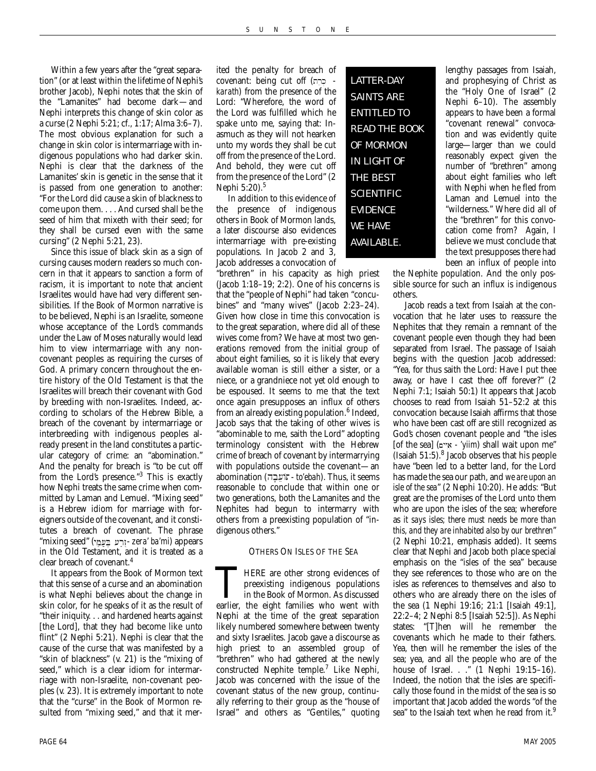Within a few years after the "great separation" (or at least within the lifetime of Nephi's brother Jacob), Nephi notes that the skin of the "Lamanites" had become dark—and Nephi interprets this change of skin color as a curse (2 Nephi 5:21; cf., 1:17; Alma 3:6–7). The most obvious explanation for such a change in skin color is intermarriage with indigenous populations who had darker skin. Nephi is clear that the darkness of the Lamanites' skin is genetic in the sense that it is passed from one generation to another: "For the Lord did cause a skin of blackness to come upon them. . . . And cursed shall be the seed of him that mixeth with their seed; for they shall be cursed even with the same cursing" (2 Nephi 5:21, 23).

Since this issue of black skin as a sign of cursing causes modern readers so much concern in that it appears to sanction a form of racism, it is important to note that ancient Israelites would have had very different sensibilities. If the Book of Mormon narrative is to be believed, Nephi is an Israelite, someone whose acceptance of the Lord's commands under the Law of Moses naturally would lead him to view intermarriage with any noncovenant peoples as requiring the curses of God. A primary concern throughout the entire history of the Old Testament is that the Israelites will breach their covenant with God by breeding with non-Israelites. Indeed, according to scholars of the Hebrew Bible, a breach of the covenant by intermarriage or interbreeding with indigenous peoples already present in the land constitutes a particular category of crime: an "abomination." And the penalty for breach is "to be cut off from the Lord's presence."<sup>3</sup> This is exactly how Nephi treats the same crime when committed by Laman and Lemuel. "Mixing seed" is a Hebrew idiom for marriage with foreigners outside of the covenant, and it constitutes a breach of covenant. The phrase "mixing seed" ( - *zera' ba'mi*) appears in the Old Testament, and it is treated as a clear breach of covenant.<sup>4</sup>

It appears from the Book of Mormon text that this sense of a curse and an abomination is what Nephi believes about the change in skin color, for he speaks of it as the result of "their iniquity. . . and hardened hearts against [the Lord], that they had become like unto flint" (2 Nephi 5:21). Nephi is clear that the cause of the curse that was manifested by a "skin of blackness" (v. 21) is the "mixing of seed," which is a clear idiom for intermarriage with non-Israelite, non-covenant peoples (v. 23). It is extremely important to note that the "curse" in the Book of Mormon resulted from "mixing seed," and that it mer-

ited the penalty for breach of covenant: being cut off (כְרָח *karath*) from the presence of the Lord: "Wherefore, the word of the Lord was fulfilled which he spake unto me, saying that: Inasmuch as they will not hearken unto my words they shall be cut off from the presence of the Lord. And behold, they were cut off from the presence of the Lord" (2 Nephi 5:20).<sup>5</sup>

In addition to this evidence of the presence of indigenous others in Book of Mormon lands, a later discourse also evidences intermarriage with pre-existing populations. In Jacob 2 and 3, Jacob addresses a convocation of

"brethren" in his capacity as high priest (Jacob 1:18–19; 2:2). One of his concerns is that the "people of Nephi" had taken "concubines" and "many wives" (Jacob 2:23–24). Given how close in time this convocation is to the great separation, where did all of these wives come from? We have at most two generations removed from the initial group of about eight families, so it is likely that every available woman is still either a sister, or a niece, or a grandniece not yet old enough to be espoused. It seems to me that the text once again presupposes an influx of others from an already existing population.<sup>6</sup> Indeed, Jacob says that the taking of other wives is "abominable to me, saith the Lord" adopting terminology consistent with the Hebrew crime of breach of covenant by intermarrying with populations outside the covenant—an abomination (עִבָּה *- to'ebah*). Thus, it seems reasonable to conclude that within one or two generations, both the Lamanites and the Nephites had begun to intermarry with others from a preexisting population of "indigenous others."

#### OTHERS ON ISLES OF THE SEA

THERE are other strong evidences of preexisting indigenous populations in the Book of Mormon. As discussed earlier, the eight families who went with preexisting indigenous populations in the Book of Mormon. As discussed Nephi at the time of the great separation likely numbered somewhere between twenty and sixty Israelites. Jacob gave a discourse as high priest to an assembled group of "brethren" who had gathered at the newly constructed Nephite temple.7 Like Nephi, Jacob was concerned with the issue of the covenant status of the new group, continually referring to their group as the "house of Israel" and others as "Gentiles," quoting

LATTER-DAY SAINTS ARE ENTITLED TO READ THE BOOK OF MORMON IN LIGHT OF THE BEST **SCIENTIFIC** EVIDENCE WE HAVE AVAILABLE.

lengthy passages from Isaiah, and prophesying of Christ as the "Holy One of Israel" (2 Nephi 6–10). The assembly appears to have been a formal "covenant renewal" convocation and was evidently quite large—larger than we could reasonably expect given the number of "brethren" among about eight families who left with Nephi when he fled from Laman and Lemuel into the "wilderness." Where did all of the "brethren" for this convocation come from? Again, I believe we must conclude that the text presupposes there had been an influx of people into

the Nephite population. And the only possible source for such an influx is indigenous others.

Jacob reads a text from Isaiah at the convocation that he later uses to reassure the Nephites that they remain a remnant of the covenant people even though they had been separated from Israel. The passage of Isaiah begins with the question Jacob addressed: "Yea, for thus saith the Lord: Have I put thee away, or have I cast thee off forever?" (2 Nephi 7:1; Isaiah 50:1) It appears that Jacob chooses to read from Isaiah 51–52:2 at this convocation because Isaiah affirms that those who have been cast off are still recognized as God's chosen covenant people and "the isles [of the sea] (~yYi ai *- 'yiim*) shall wait upon me" (Isaiah 51:5).8 Jacob observes that his people have "been led to a better land, for the Lord has made the sea our path, and *we are upon an isle of the sea*" (2 Nephi 10:20). He adds: "But great are the promises of the Lord unto them who are upon the isles of the sea; wherefore as *it says isles; there must needs be more than this, and they are inhabited also by our brethren*" (2 Nephi 10:21, emphasis added). It seems clear that Nephi and Jacob both place special emphasis on the "isles of the sea" because they see references to those who are on the isles as references to themselves and also to others who are already there on the isles of the sea (1 Nephi 19:16; 21:1 [Isaiah 49:1], 22:2–4; 2 Nephi 8:5 [Isaiah 52:5]). As Nephi states: "[T]hen will he remember the covenants which he made to their fathers. Yea, then will he remember the isles of the sea; yea, and all the people who are of the house of Israel. . ." (1 Nephi 19:15–16). Indeed, the notion that the isles are specifically those found in the midst of the sea is so important that Jacob added the words "of the sea" to the Isaiah text when he read from it.<sup>9</sup>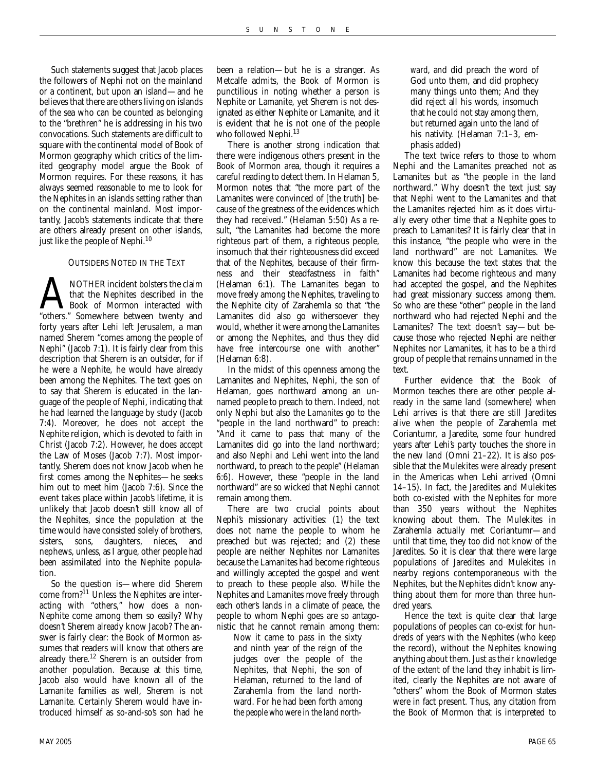Such statements suggest that Jacob places the followers of Nephi not on the mainland or a continent, but upon an island—and he believes that there are others living on islands of the sea who can be counted as belonging to the "brethren" he is addressing in his two convocations. Such statements are difficult to square with the continental model of Book of Mormon geography which critics of the limited geography model argue the Book of Mormon requires. For these reasons, it has always seemed reasonable to me to look for the Nephites in an islands setting rather than on the continental mainland. Most importantly, Jacob's statements indicate that there are others already present on other islands, just like the people of Nephi.<sup>10</sup>

#### OUTSIDERS NOTED IN THE TEXT

A NOTHER incident bolsters the claim<br>that the Nephites described in the<br>"others." Somewhere between twenty and that the Nephites described in the Book of Mormon interacted with forty years after Lehi left Jerusalem, a man named Sherem "comes among the people of Nephi" (Jacob 7:1). It is fairly clear from this description that Sherem is an outsider, for if he were a Nephite, he would have already been among the Nephites. The text goes on to say that Sherem is educated in the language of the people of Nephi, indicating that he had learned the language by study (Jacob 7:4). Moreover, he does not accept the Nephite religion, which is devoted to faith in Christ (Jacob 7:2). However, he does accept the Law of Moses (Jacob 7:7). Most importantly, Sherem does not know Jacob when he first comes among the Nephites—he seeks him out to meet him (Jacob 7:6). Since the event takes place within Jacob's lifetime, it is unlikely that Jacob doesn't still know all of the Nephites, since the population at the time would have consisted solely of brothers, sisters, sons, daughters, nieces, and nephews, unless, as I argue, other people had been assimilated into the Nephite population.

So the question is—where did Sherem come from?<sup>11</sup> Unless the Nephites are interacting with "others," how does a non-Nephite come among them so easily? Why doesn't Sherem already know Jacob? The answer is fairly clear: the Book of Mormon assumes that readers will know that others are already there.<sup>12</sup> Sherem is an outsider from another population. Because at this time, Jacob also would have known all of the Lamanite families as well, Sherem is not Lamanite. Certainly Sherem would have introduced himself as so-and-so's son had he

been a relation—but he is a stranger. As Metcalfe admits, the Book of Mormon is punctilious in noting whether a person is Nephite or Lamanite, yet Sherem is not designated as either Nephite or Lamanite, and it is evident that he is not one of the people who followed Nephi.<sup>13</sup>

There is another strong indication that there were indigenous others present in the Book of Mormon area, though it requires a careful reading to detect them. In Helaman 5, Mormon notes that "the more part of the Lamanites were convinced of [the truth] because of the greatness of the evidences which they had received." (Helaman 5:50) As a result, "the Lamanites had become the more righteous part of them, a righteous people, insomuch that their righteousness did exceed that of the Nephites, because of their firmness and their steadfastness in faith" (Helaman 6:1). The Lamanites began to move freely among the Nephites, traveling to the Nephite city of Zarahemla so that "the Lamanites did also go withersoever they would, whether it were among the Lamanites or among the Nephites, and thus they did have free intercourse one with another" (Helaman 6:8).

In the midst of this openness among the Lamanites and Nephites, Nephi, the son of Helaman, goes northward among an unnamed people to preach to them. Indeed, not only Nephi but also the *Lamanites* go to the "people in the land northward" to preach: "And it came to pass that many of the Lamanites did go into the land northward; and also Nephi and Lehi went into the land northward, to preach *to the people*" (Helaman 6:6). However, these "people in the land northward" are so wicked that Nephi cannot remain among them.

There are two crucial points about Nephi's missionary activities: (1) the text does not name the people to whom he preached but was rejected; and (2) these people are neither Nephites nor Lamanites because the Lamanites had become righteous and willingly accepted the gospel and went to preach to these people also. While the Nephites and Lamanites move freely through each other's lands in a climate of peace, the people to whom Nephi goes are so antagonistic that he cannot remain among them:

Now it came to pass in the sixty and ninth year of the reign of the judges over the people of the Nephites, that Nephi, the son of Helaman, returned to the land of Zarahemla from the land northward. For he had been forth *among the people who were in the land north-*

*ward*, and did preach the word of God unto them, and did prophecy many things unto them; And they did reject all his words, insomuch that he could not stay among them, but returned again unto the land of his nativity. (Helaman 7:1-3, emphasis added)

The text twice refers to those to whom Nephi and the Lamanites preached not as Lamanites but as "the people in the land northward." Why doesn't the text just say that Nephi went to the Lamanites and that the Lamanites rejected him as it does virtually every other time that a Nephite goes to preach to Lamanites? It is fairly clear that in this instance, "the people who were in the land northward" are not Lamanites. We know this because the text states that the Lamanites had become righteous and many had accepted the gospel, and the Nephites had great missionary success among them. So who are these "other" people in the land northward who had rejected Nephi and the Lamanites? The text doesn't say—but because those who rejected Nephi are neither Nephites nor Lamanites, it has to be a third group of people that remains unnamed in the text.

Further evidence that the Book of Mormon teaches there are other people already in the same land (somewhere) when Lehi arrives is that there are still Jaredites alive when the people of Zarahemla met Coriantumr, a Jaredite, some four hundred years after Lehi's party touches the shore in the new land (Omni 21–22). It is also possible that the Mulekites were already present in the Americas when Lehi arrived (Omni 14–15). In fact, the Jaredites and Mulekites both co-existed with the Nephites for more than 350 years without the Nephites knowing about them. The Mulekites in Zarahemla actually met Coriantumr—and until that time, they too did not know of the Jaredites. So it is clear that there were large populations of Jaredites and Mulekites in nearby regions contemporaneous with the Nephites, but the Nephites didn't know anything about them for more than three hundred years.

Hence the text is quite clear that large populations of peoples can co-exist for hundreds of years with the Nephites (who keep the record), without the Nephites knowing anything about them. Just as their knowledge of the extent of the land they inhabit is limited, clearly the Nephites are not aware of "others" whom the Book of Mormon states were in fact present. Thus, any citation from the Book of Mormon that is interpreted to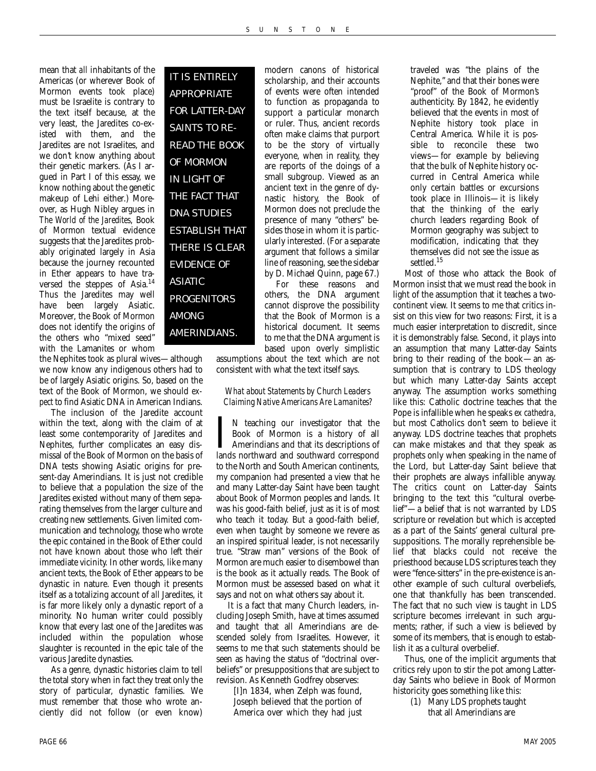mean that *all* inhabitants of the Americas (or wherever Book of Mormon events took place) must be Israelite is contrary to the text itself because, at the very least, the Jaredites co-existed with them, and the Jaredites are not Israelites, and we don't know anything about their genetic markers. (As I argued in Part I of this essay, we know nothing about the genetic makeup of Lehi either.) Moreover, as Hugh Nibley argues in *The World of the Jaredites*, Book of Mormon textual evidence suggests that the Jaredites probably originated largely in Asia because the journey recounted in Ether appears to have traversed the steppes of Asia.14 Thus the Jaredites may well have been largely Asiatic. Moreover, the Book of Mormon does not identify the origins of the others who "mixed seed" with the Lamanites or whom

IT IS ENTIRELY APPROPRIATE FOR LATTER-DAY SAINTS TO RE-READ THE BOOK OF MORMON IN LIGHT OF THE FACT THAT DNA STUDIES ESTABLISH THAT THERE IS CLEAR EVIDENCE OF ASIATIC PROGENITORS AMONG AMERINDIANS.

the Nephites took as plural wives—although we now know any indigenous others had to be of largely Asiatic origins. So, based on the text of the Book of Mormon, we should *expect* to find Asiatic DNA in American Indians.

The inclusion of the Jaredite account within the text, along with the claim of at least some contemporarity of Jaredites and Nephites, further complicates an easy dismissal of the Book of Mormon on the basis of DNA tests showing Asiatic origins for present-day Amerindians. It is just not credible to believe that a population the size of the Jaredites existed without many of them separating themselves from the larger culture and creating new settlements. Given limited communication and technology, those who wrote the epic contained in the Book of Ether could not have known about those who left their immediate vicinity. In other words, like many ancient texts, the Book of Ether appears to be dynastic in nature. Even though it presents itself as a totalizing account of *all* Jaredites, it is far more likely only a dynastic report of a minority. No human writer could possibly know that every last one of the Jaredites was included within the population whose slaughter is recounted in the epic tale of the various Jaredite dynasties.

As a genre, dynastic histories claim to tell the total story when in fact they treat only the story of particular, dynastic families. We must remember that those who wrote anciently did not follow (or even know)

modern canons of historical scholarship, and their accounts of events were often intended to function as propaganda to support a particular monarch or ruler. Thus, ancient records often make claims that purport to be the story of virtually everyone, when in reality, they are reports of the doings of a small subgroup. Viewed as an ancient text in the genre of dynastic history, the Book of Mormon does not preclude the presence of many "others" besides those in whom it is particularly interested. (For a separate argument that follows a similar line of reasoning, see the sidebar by D. Michael Quinn, page 67.)

For these reasons and others, the DNA argument cannot disprove the possibility that the Book of Mormon is a historical document. It seems to me that the DNA argument is based upon overly simplistic

assumptions about the text which are not consistent with what the text itself says.

*What about Statements by Church Leaders Claiming Native Americans Are Lamanites?*

I N teaching our investigator that the Book of Mormon is a history of all Amerindians and that its descriptions of lands northward and southward correspond N teaching our investigator that the Book of Mormon is a history of all Amerindians and that its descriptions of to the North and South American continents, my companion had presented a view that he and many Latter-day Saint have been taught about Book of Mormon peoples and lands. It was his good-faith belief, just as it is of most who teach it today. But a good-faith belief, even when taught by someone we revere as an inspired spiritual leader, is not necessarily true. "Straw man" versions of the Book of Mormon are much easier to disembowel than is the book as it actually reads. The Book of Mormon must be assessed based on what it says and not on what others say about it.

It is a fact that many Church leaders, including Joseph Smith, have at times assumed and taught that all Amerindians are descended solely from Israelites. However, it seems to me that such statements should be seen as having the status of "doctrinal overbeliefs" or presuppositions that are subject to revision. As Kenneth Godfrey observes:

[I]n 1834, when Zelph was found, Joseph believed that the portion of America over which they had just

traveled was "the plains of the Nephite," and that their bones were "proof" of the Book of Mormon's authenticity. By 1842, he evidently believed that the events in most of Nephite history took place in Central America. While it is possible to reconcile these two views—for example by believing that the bulk of Nephite history occurred in Central America while only certain battles or excursions took place in Illinois—it is likely that the thinking of the early church leaders regarding Book of Mormon geography was subject to modification, indicating that they themselves did not see the issue as settled.<sup>15</sup>

Most of those who attack the Book of Mormon insist that we must read the book in light of the assumption that it teaches a twocontinent view. It seems to me that critics insist on this view for two reasons: First, it is a much easier interpretation to discredit, since it is demonstrably false. Second, it plays into an assumption that many Latter-day Saints bring to their reading of the book—an assumption that is contrary to LDS theology but which many Latter-day Saints accept anyway. The assumption works something like this: Catholic doctrine teaches that the Pope is infallible when he speaks *ex cathedra*, but most Catholics don't seem to believe it anyway. LDS doctrine teaches that prophets can make mistakes and that they speak as prophets only when speaking in the name of the Lord, but Latter-day Saint believe that their prophets are always infallible anyway. The critics count on Latter-day Saints bringing to the text this "cultural overbelief"—a belief that is not warranted by LDS scripture or revelation but which is accepted as a part of the Saints' general cultural presuppositions. The morally reprehensible belief that blacks could not receive the priesthood because LDS scriptures teach they were "fence-sitters" in the pre-existence is another example of such cultural overbeliefs, one that thankfully has been transcended. The fact that no such view is taught in LDS scripture becomes irrelevant in such arguments; rather, if such a view is believed by some of its members, that is enough to establish it as a cultural overbelief.

Thus, one of the implicit arguments that critics rely upon to stir the pot among Latterday Saints who believe in Book of Mormon historicity goes something like this:

(1) Many LDS prophets taught that all Amerindians are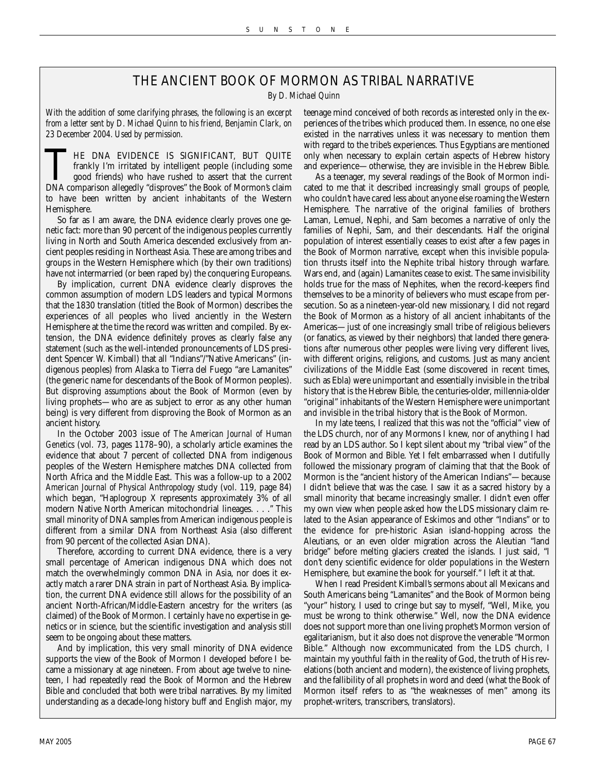### THE ANCIENT BOOK OF MORMON AS TRIBAL NARRATIVE

*By D. Michael Quinn*

*With the addition of some clarifying phrases, the following is an excerpt from a letter sent by D. Michael Quinn to his friend, Benjamin Clark, on 23 December 2004. Used by permission.*

THE DNA EVIDENCE IS SIGNIFICANT, BUT QUITE frankly I'm irritated by intelligent people (including some good friends) who have rushed to assert that the current DNA comparison allegedly "disproves" the Book of Mormon's claim to have been written by ancient inhabitants of the Western Hemisphere.

So far as I am aware, the DNA evidence clearly proves one genetic fact: more than 90 percent of the indigenous peoples currently living in North and South America descended exclusively from ancient peoples residing in Northeast Asia. These are among tribes and groups in the Western Hemisphere which (by their own traditions) have *not* intermarried (or been raped by) the conquering Europeans.

By implication, current DNA evidence clearly disproves the common assumption of modern LDS leaders and typical Mormons that the 1830 translation (titled the Book of Mormon) describes the experiences of *all* peoples who lived anciently in the Western Hemisphere at the time the record was written and compiled. By extension, the DNA evidence definitely proves as clearly false any statement (such as the well-intended pronouncements of LDS president Spencer W. Kimball) that all "Indians"/"Native Americans" (indigenous peoples) from Alaska to Tierra del Fuego "are Lamanites" (the generic name for descendants of the Book of Mormon peoples). But disproving *assumptions* about the Book of Mormon (even by living prophets—who are as subject to error as any other human being) is very different from disproving the Book of Mormon as an ancient history.

In the October 2003 issue of *The American Journal of Human Genetics* (vol. 73, pages 1178–90), a scholarly article examines the evidence that about 7 percent of collected DNA from indigenous peoples of the Western Hemisphere matches DNA collected from North Africa and the Middle East. This was a follow-up to a 2002 *American Journal of Physical Anthropology* study (vol. 119, page 84) which began, "Haplogroup X represents approximately 3% of all modern Native North American mitochondrial lineages. . . ." This small minority of DNA samples from American indigenous people is different from a similar DNA from Northeast Asia (also different from 90 percent of the collected Asian DNA).

Therefore, according to current DNA evidence, there is a very small percentage of American indigenous DNA which does not match the overwhelmingly common DNA in Asia, nor does it exactly match a rarer DNA strain in part of Northeast Asia. By implication, the current DNA evidence still allows for the possibility of an ancient North-African/Middle-Eastern ancestry for the writers (as claimed) of the Book of Mormon. I certainly have no expertise in genetics or in science, but the scientific investigation and analysis still seem to be ongoing about these matters.

And by implication, this very small minority of DNA evidence supports the view of the Book of Mormon I developed before I became a missionary at age nineteen. From about age twelve to nineteen, I had repeatedly read the Book of Mormon and the Hebrew Bible and concluded that both were tribal narratives. By my limited understanding as a decade-long history buff and English major, my

teenage mind conceived of both records as interested only in the experiences of the tribes which produced them. In essence, no one else existed in the narratives unless it was necessary to mention them with regard to the tribe's experiences. Thus Egyptians are mentioned only when necessary to explain certain aspects of Hebrew history and experience—otherwise, they are invisible in the Hebrew Bible.

As a teenager, my several readings of the Book of Mormon indicated to me that it described increasingly small groups of people, who couldn't have cared less about anyone else roaming the Western Hemisphere. The narrative of the original families of brothers Laman, Lemuel, Nephi, and Sam becomes a narrative of only the families of Nephi, Sam, and their descendants. Half the original population of interest essentially ceases to exist after a few pages in the Book of Mormon narrative, except when this invisible population thrusts itself into the Nephite tribal history through warfare. Wars end, and (again) Lamanites cease to exist. The same invisibility holds true for the mass of Nephites, when the record-keepers find themselves to be a minority of believers who must escape from persecution. So as a nineteen-year-old new missionary, I did not regard the Book of Mormon as a history of all ancient inhabitants of the Americas—just of one increasingly small tribe of religious believers (or fanatics, as viewed by their neighbors) that landed there generations *after* numerous other peoples were living very different lives, with different origins, religions, and customs. Just as many ancient civilizations of the Middle East (some discovered in recent times, such as Ebla) were unimportant and essentially invisible in the tribal history that is the Hebrew Bible, the centuries-older, millennia-older "original" inhabitants of the Western Hemisphere were unimportant and invisible in the tribal history that is the Book of Mormon.

In my late teens, I realized that this was not the "official" view of the LDS church, nor of any Mormons I knew, nor of anything I had read by an LDS author. So I kept silent about my "tribal view" of the Book of Mormon and Bible. Yet I felt embarrassed when I dutifully followed the missionary program of claiming that that the Book of Mormon is the "ancient history of the American Indians"—because I didn't believe that was the case. I saw it as a sacred history by a small minority that became increasingly smaller. I didn't even offer my own view when people asked how the LDS missionary claim related to the Asian appearance of Eskimos and other "Indians" or to the evidence for pre-historic Asian island-hopping across the Aleutians, or an even older migration across the Aleutian "land bridge" before melting glaciers created the islands. I just said, "I don't deny scientific evidence for older populations in the Western Hemisphere, but examine the book for yourself." I left it at that.

When I read President Kimball's sermons about all Mexicans and South Americans being "Lamanites" and the Book of Mormon being "your" history, I used to cringe but say to myself, "Well, Mike, you must be wrong to think otherwise." Well, now the DNA evidence does not support more than one living prophet's Mormon version of egalitarianism, but it also does not disprove the venerable "Mormon Bible." Although now excommunicated from the LDS church, I maintain my youthful faith in the reality of God, the truth of His revelations (both ancient and modern), the existence of living prophets, and the fallibility of all prophets in word and deed (what the Book of Mormon itself refers to as "the weaknesses of men" among its prophet-writers, transcribers, translators).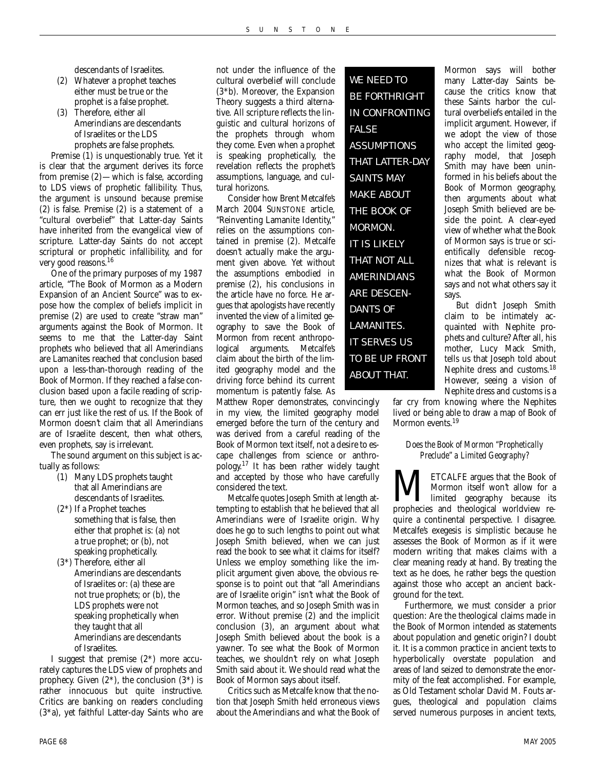descendants of Israelites.

- (2) Whatever a prophet teaches either must be true or the prophet is a false prophet.
- (3) Therefore, either all Amerindians are descendants of Israelites or the LDS prophets are false prophets.

Premise (1) is unquestionably true. Yet it is clear that the argument derives its force from premise (2)—which is false, according to LDS views of prophetic fallibility. Thus, the argument is unsound because premise (2) is false. Premise (2) is a statement of a "cultural overbelief" that Latter-day Saints have inherited from the evangelical view of scripture. Latter-day Saints do not accept scriptural or prophetic infallibility, and for very good reasons.16

One of the primary purposes of my 1987 article, "The Book of Mormon as a Modern Expansion of an Ancient Source" was to expose how the complex of beliefs implicit in premise (2) are used to create "straw man" arguments against the Book of Mormon. It seems to me that the Latter-day Saint prophets who believed that all Amerindians are Lamanites reached that conclusion based upon a less-than-thorough reading of the Book of Mormon. If they reached a false conclusion based upon a facile reading of scripture, then we ought to recognize that they can err just like the rest of us. If the Book of Mormon doesn't claim that all Amerindians are of Israelite descent, then what others, even prophets, say is irrelevant.

The sound argument on this subject is actually as follows:

- (1) Many LDS prophets taught that all Amerindians are descendants of Israelites.
- (2\*) If a Prophet teaches something that is false, then either that prophet is: (a) not a true prophet; or (b), not speaking prophetically.
- (3\*) Therefore, either all Amerindians are descendants of Israelites or: (a) these are not true prophets; or (b), the LDS prophets were not speaking prophetically when they taught that all Amerindians are descendants of Israelites.

I suggest that premise (2\*) more accurately captures the LDS view of prophets and prophecy. Given  $(2^*)$ , the conclusion  $(3^*)$  is rather innocuous but quite instructive. Critics are banking on readers concluding (3\*a), yet faithful Latter-day Saints who are

not under the influence of the cultural overbelief will conclude (3\*b). Moreover, the Expansion Theory suggests a third alternative. All scripture reflects the linguistic and cultural horizons of the prophets through whom they come. Even when a prophet is speaking prophetically, the revelation reflects the prophet's assumptions, language, and cultural horizons.

Consider how Brent Metcalfe's March 2004 SUNSTONE article, "Reinventing Lamanite Identity," relies on the assumptions contained in premise (2). Metcalfe doesn't actually make the argument given above. Yet without the assumptions embodied in premise (2), his conclusions in the article have no force. He argues that apologists have recently invented the view of a limited geography to save the Book of Mormon from recent anthropological arguments. Metcalfe's claim about the birth of the limited geography model and the driving force behind its current momentum is patently false. As

Matthew Roper demonstrates, convincingly in my view, the limited geography model emerged before the turn of the century and was derived from a careful reading of the Book of Mormon text itself, not a desire to escape challenges from science or anthropology.17 It has been rather widely taught and accepted by those who have carefully considered the text.

Metcalfe quotes Joseph Smith at length attempting to establish that he believed that all Amerindians were of Israelite origin. Why does he go to such lengths to point out what Joseph Smith believed, when we can just read the book to see what it claims for itself? Unless we employ something like the implicit argument given above, the obvious response is to point out that "all Amerindians are of Israelite origin" isn't what the Book of Mormon teaches, and so Joseph Smith was in error. Without premise (2) and the implicit conclusion (3), an argument about what Joseph Smith believed about the book is a yawner. To see what the Book of Mormon teaches, we shouldn't rely on what Joseph Smith said about it. We should read what the Book of Mormon says about itself.

Critics such as Metcalfe know that the notion that Joseph Smith held erroneous views about the Amerindians and what the Book of

WE NEED TO BE FORTHRIGHT IN CONFRONTING FALSE ASSUMPTIONS THAT LATTER-DAY SAINTS MAY MAKE ABOUT THE BOOK OF MORMON. IT IS LIKELY THAT NOT ALL **AMERINDIANS** ARE DESCEN-DANTS OF LAMANITES. IT SERVES US TO BE UP FRONT ABOUT THAT.

Mormon says will bother many Latter-day Saints because the critics know that these Saints harbor the cultural overbeliefs entailed in the implicit argument. However, if we adopt the view of those who accept the limited geography model, that Joseph Smith may have been uninformed in his beliefs about the Book of Mormon geography, then arguments about what Joseph Smith believed are beside the point. A clear-eyed view of whether what the Book of Mormon says is true or scientifically defensible recognizes that what is relevant is what the Book of Mormon says and not what others say it says.

But didn't Joseph Smith claim to be intimately acquainted with Nephite prophets and culture? After all, his mother, Lucy Mack Smith, tells us that Joseph told about Nephite dress and customs.<sup>18</sup> However, seeing a vision of Nephite dress and customs is a

far cry from knowing where the Nephites lived or being able to draw a map of Book of Mormon events.<sup>19</sup>

#### *Does the Book of Mormon "Prophetically Preclude" a Limited Geography?*

**METCALFE argues that the Book of Mormon itself won't allow for a limited geography because its prophecies and theological worldview re-**Mormon itself won't allow for a limited geography because its quire a continental perspective. I disagree. Metcalfe's exegesis is simplistic because he assesses the Book of Mormon as if it were modern writing that makes claims with a clear meaning ready at hand. By treating the text as he does, he rather begs the question against those who accept an ancient background for the text.

Furthermore, we must consider a prior question: Are the theological claims made in the Book of Mormon intended as statements about population and genetic origin? I doubt it. It is a common practice in ancient texts to hyperbolically overstate population and areas of land seized to demonstrate the enormity of the feat accomplished. For example, as Old Testament scholar David M. Fouts argues, theological and population claims served numerous purposes in ancient texts,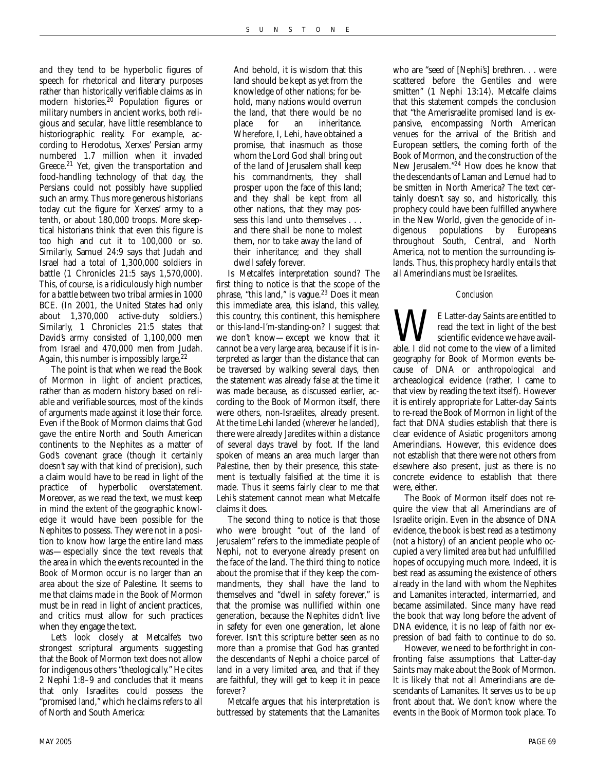and they tend to be hyperbolic figures of speech for rhetorical and literary purposes rather than historically verifiable claims as in modern histories.20 Population figures or military numbers in ancient works, both religious and secular, have little resemblance to historiographic reality. For example, according to Herodotus, Xerxes' Persian army numbered 1.7 million when it invaded Greece.<sup>21</sup> Yet, given the transportation and food-handling technology of that day, the Persians could not possibly have supplied such an army. Thus more generous historians today cut the figure for Xerxes' army to a tenth, or about 180,000 troops. More skeptical historians think that even this figure is too high and cut it to 100,000 or so. Similarly, Samuel 24:9 says that Judah and Israel had a total of 1,300,000 soldiers in battle (1 Chronicles 21:5 says 1,570,000). This, of course, is a ridiculously high number for a battle between two tribal armies in 1000 BCE. (In 2001, the United States had only about 1,370,000 active-duty soldiers.) Similarly, 1 Chronicles 21:5 states that David's army consisted of 1,100,000 men from Israel and 470,000 men from Judah. Again, this number is impossibly large. $^{22}$ 

The point is that when we read the Book of Mormon in light of ancient practices, rather than as modern history based on reliable and verifiable sources, most of the kinds of arguments made against it lose their force. Even if the Book of Mormon claims that God gave the entire North and South American continents to the Nephites as a matter of God's covenant grace (though it certainly doesn't say with that kind of precision), such a claim would have to be read in light of the practice of hyperbolic overstatement. Moreover, as we read the text, we must keep in mind the extent of the geographic knowledge it would have been possible for the Nephites to possess. They were not in a position to know how large the entire land mass was—especially since the text reveals that the area in which the events recounted in the Book of Mormon occur is no larger than an area about the size of Palestine. It seems to me that claims made in the Book of Mormon must be in read in light of ancient practices, and critics must allow for such practices when they engage the text.

Let's look closely at Metcalfe's two strongest scriptural arguments suggesting that the Book of Mormon text does not allow for indigenous others "theologically." He cites 2 Nephi 1:8–9 and concludes that it means that only Israelites could possess the "promised land," which he claims refers to all of North and South America:

And behold, it is wisdom that this land should be kept as yet from the knowledge of other nations; for behold, many nations would overrun the land, that there would be no place for an inheritance. Wherefore, I, Lehi, have obtained a promise, that inasmuch as those whom the Lord God shall bring out of the land of Jerusalem shall keep his commandments, they shall prosper upon the face of this land; and they shall be kept from all other nations, that they may possess this land unto themselves . . . and there shall be none to molest them, nor to take away the land of their inheritance; and they shall dwell safely forever.

Is Metcalfe's interpretation sound? The first thing to notice is that the scope of the phrase, "this land," is vague.<sup>23</sup> Does it mean this immediate area, this island, this valley, this country, this continent, this hemisphere or this-land-I'm-standing-on? I suggest that we don't know—except we know that it cannot be a very large area, because if it is interpreted as larger than the distance that can be traversed by walking several days, then the statement was already false at the time it was made because, as discussed earlier, according to the Book of Mormon itself, there were others, non-Israelites, already present. At the time Lehi landed (*wherever* he landed), there were already Jaredites within a distance of several days travel by foot. If the land spoken of means an area much larger than Palestine, then by their presence, this statement is textually falsified at the time it is made. Thus it seems fairly clear to me that Lehi's statement cannot mean what Metcalfe claims it does.

The second thing to notice is that those who were brought "out of the land of Jerusalem" refers to the immediate people of Nephi, not to everyone already present on the face of the land. The third thing to notice about the promise that if they keep the commandments, they shall have the land to themselves and "dwell in safety forever," is that the promise was nullified within one generation, because the Nephites didn't live in safety for even one generation, let alone forever. Isn't this scripture better seen as no more than a promise that God has granted the descendants of Nephi a choice parcel of land in a very limited area, and that if they are faithful, they will get to keep it in peace forever?

Metcalfe argues that his interpretation is buttressed by statements that the Lamanites

who are "seed of [Nephi's] brethren. . . were scattered before the Gentiles and were smitten" (1 Nephi 13:14). Metcalfe claims that this statement compels the conclusion that "the Amerisraelite promised land is expansive, encompassing North American venues for the arrival of the British and European settlers, the coming forth of the Book of Mormon, and the construction of the New Jerusalem."24 How does he know that the descendants of Laman and Lemuel had to be smitten in North America? The text certainly doesn't say so, and historically, this prophecy could have been fulfilled anywhere in the New World, given the genocide of indigenous populations by Europeans throughout South, Central, and North America, not to mention the surrounding islands. Thus, this prophecy hardly entails that all Amerindians must be Israelites.

#### *Conclusion*

**WE** Latter-day Saints are entitled to read the text in light of the best scientific evidence we have available. I did not come to the view of a limited read the text in light of the best scientific evidence we have availgeography for Book of Mormon events because of DNA or anthropological and archeaological evidence (rather, I came to that view by reading the text itself). However it is entirely appropriate for Latter-day Saints to re-read the Book of Mormon in light of the fact that DNA studies establish that there is clear evidence of Asiatic progenitors among Amerindians. However, this evidence does not establish that there were not others from elsewhere also present, just as there is no concrete evidence to establish that there were, either.

The Book of Mormon itself does not require the view that all Amerindians are of Israelite origin. Even in the absence of DNA evidence, the book is best read as a testimony (not a history) of an ancient people who occupied a very limited area but had unfulfilled hopes of occupying much more. Indeed, it is best read as assuming the existence of others already in the land with whom the Nephites and Lamanites interacted, intermarried, and became assimilated. Since many have read the book that way long before the advent of DNA evidence, it is no leap of faith nor expression of bad faith to continue to do so.

However, we need to be forthright in confronting false assumptions that Latter-day Saints may make about the Book of Mormon. It is likely that not all Amerindians are descendants of Lamanites. It serves us to be up front about that. We don't know where the events in the Book of Mormon took place. To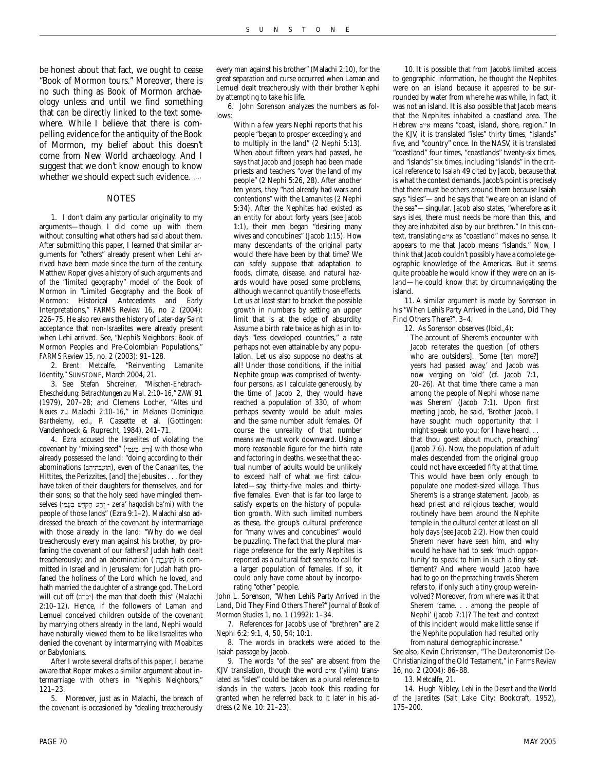be honest about that fact, we ought to cease "Book of Mormon tours." Moreover, there is no such thing as Book of Mormon archaeology unless and until we find something that can be directly linked to the text somewhere. While I believe that there is compelling evidence for the antiquity of the Book of Mormon, my belief about this doesn't come from New World archaeology. And I suggest that we don't know enough to know whether we should expect such evidence.

#### **NOTES**

1. I don't claim any particular originality to my arguments—though I did come up with them without consulting what others had said about them. After submitting this paper, I learned that similar arguments for "others" already present when Lehi arrived have been made since the turn of the century. Matthew Roper gives a history of such arguments and of the "limited geography" model of the Book of Mormon in "Limited Geography and the Book of Mormon: Historical Antecedents and Early Interpretations," *FARMS Review* 16, no 2 (2004): 226–75. He also reviews the history of Later-day Saint acceptance that non-Israelites were already present when Lehi arrived. See, "Nephi's Neighbors: Book of Mormon Peoples and Pre-Colombian Populations," *FARMS Review* 15, no. 2 (2003): 91–128.

2. Brent Metcalfe, "Reinventing Lamanite Identity," SUNSTONE, March 2004, 21.

3. See Stefan Shcreiner, "*Mischen-Ehebrach-Ehescheidung: Betrachtungen zu Mal. 2:10–16,*" *ZAW* 91 (1979), 207–28; and Clemens Locher, "*Altes und Neues zu Malachi 2:10–16*," in *Melanes Dominique Barthelemy*, ed., P. Cassette et al. (Gottingen: Vandenhoeck & Ruprecht, 1984), 241–71.

4. Ezra accused the Israelites of violating the covenant by "mixing seed" (וְרֵע בְּעָמֵי) with those who already possessed the land: "doing according to their abominations (הוֹעֲבֹהָיהָם), even of the Canaanites, the Hittites, the Perizzites, [and] the Jebusites . . . for they have taken of their daughters for themselves, and for their sons; so that the holy seed have mingled themselves (יְרַע הַקְּדָשׁ בְּעַמֵּי zera' haqodish ba'mi) with the people of those lands" (Ezra 9:1–2). Malachi also addressed the breach of the covenant by intermarriage with those already in the land: "Why do we deal treacherously every man against his brother, by profaning the covenant of our fathers? Judah hath dealt treacherously; and an abomination (חוֹעֵבָה) is committed in Israel and in Jerusalem; for Judah hath profaned the holiness of the Lord which he loved, and hath married the daughter of a strange god. The Lord will cut off (יכרה) the man that doeth this" (Malachi 2:10–12). Hence, if the followers of Laman and Lemuel conceived children outside of the covenant by marrying others already in the land, Nephi would have naturally viewed them to be like Israelites who denied the covenant by intermarrying with Moabites or Babylonians.

After I wrote several drafts of this paper, I became aware that Roper makes a similar argument about intermarriage with others in "Nephi's Neighbors," 121–23.

5. Moreover, just as in Malachi, the breach of the covenant is occasioned by "dealing treacherously

every man against his brother" (Malachi 2:10), for the great separation and curse occurred when Laman and Lemuel dealt treacherously with their brother Nephi by attempting to take his life.

6. John Sorenson analyzes the numbers as follows:

Within a few years Nephi reports that his people "began to prosper exceedingly, and to multiply in the land" (2 Nephi 5:13). When about fifteen years had passed, he says that Jacob and Joseph had been made priests and teachers "over the land of my people" (2 Nephi 5:26, 28). After another ten years, they "had already had wars and contentions" with the Lamanites (2 Nephi 5:34). After the Nephites had existed as an entity for about forty years (see Jacob 1:1), their men began "desiring many wives and concubines" (Jacob 1:15). How many descendants of the original party would there have been by that time? We can safely suppose that adaptation to foods, climate, disease, and natural hazards would have posed some problems, although we cannot quantify those effects. Let us at least start to bracket the possible growth in numbers by setting an upper limit that is at the edge of absurdity. Assume a birth rate twice as high as in today's "less developed countries," a rate perhaps not even attainable by any population. Let us also suppose no deaths at all! Under those conditions, if the initial Nephite group was comprised of twentyfour persons, as I calculate generously, by the time of Jacob 2, they would have reached a population of 330, of whom perhaps seventy would be adult males and the same number adult females. Of course the unreality of that number means we must work downward. Using a more reasonable figure for the birth rate and factoring in deaths, we see that the actual number of adults would be unlikely to exceed half of what we first calculated—say, thirty-five males and thirtyfive females. Even that is far too large to satisfy experts on the history of population growth. With such limited numbers as these, the group's cultural preference for "many wives and concubines" would be puzzling. The fact that the plural marriage preference for the early Nephites is reported as a cultural fact seems to call for a larger population of females. If so, it could only have come about by incorporating "other" people.

John L. Sorenson, "When Lehi's Party Arrived in the Land, Did They Find Others There?" *Journal of Book of Mormon Studies* 1, no. 1 (1992): 1–34.

7. References for Jacob's use of "brethren" are 2 Nephi 6:2; 9:1, 4, 50, 54; 10:1.

8. The words in brackets were added to the Isaiah passage by Jacob.

9. The words "of the sea" are absent from the KJV translation, though the word *איים* (*'yiim*) translated as "isles" could be taken as a plural reference to islands in the waters. Jacob took this reading for granted when he referred back to it later in his address (2 Ne. 10: 21–23).

10. It is possible that from Jacob's limited access to geographic information, he thought the Nephites were on an island because it *appeared* to be surrounded by water from where he was while, in fact, it was not an island. It is also possible that Jacob means that the Nephites inhabited a coastland area. The Hebrew איים means "coast, island, shore, region." In the KJV, it is translated "isles" thirty times, "islands" five, and "country" once. In the NASV, it is translated "coastland" four times, "coastlands" twenty-six times, and "islands" six times, including "islands" in the critical reference to Isaiah 49 cited by Jacob, because that is what the context demands. Jacob's point is precisely that there must be others around them because Isaiah says "isles"—and he says that "we are on an island of the sea"—singular. Jacob also states, "wherefore as it says isles, there must needs be more than this, and they are inhabited also by our brethren." In this context, translating *x* as "coastland" makes no sense. It appears to me that Jacob means "islands." Now, I think that Jacob couldn't possibly have a complete geographic knowledge of the Americas. But it seems quite probable he would know if they were on an island—he could know that by circumnavigating the island.

11. A similar argument is made by Sorenson in his "When Lehi's Party Arrived in the Land, Did They Find Others There?", 3–4.

12. As Sorenson observes (Ibid.,4):

The account of Sherem's encounter with Jacob reiterates the question [of others who are outsiders]. 'Some [ten more?] years had passed away,' and Jacob was now verging on 'old' (cf. Jacob 7:1, 20–26). At that time 'there came a man among the people of Nephi whose name was Sherem' (Jacob 7:1). Upon first meeting Jacob, he said, 'Brother Jacob, I have sought much opportunity that I might speak unto you; for I have heard. . . that thou goest about much, preaching' (Jacob 7:6). Now, the population of adult males descended from the original group could not have exceeded fifty at that time. This would have been only enough to populate one modest-sized village. Thus Sherem's is a strange statement. Jacob, as head priest and religious teacher, would routinely have been around the Nephite temple in the cultural center at least on all holy days (see Jacob 2:2). How then could Sherem never have seen him, and why would he have had to seek 'much opportunity' to speak to him in such a tiny settlement? And where would Jacob have had to go on the preaching travels Sherem refers to, if only such a tiny group were involved? Moreover, from where was it that Sherem 'came. . . among the people of Nephi' (Jacob 7:1)? The text and context of this incident would make little sense if the Nephite population had resulted only from natural demographic increase."

See also, Kevin Christensen, "The Deuteronomist De-Christianizing of the Old Testament," in *Farms Review* 16, no. 2 (2004): 86–88.

13. Metcalfe, 21.

14. Hugh Nibley, *Lehi in the Desert and the World of the Jaredites* (Salt Lake City: Bookcraft, 1952), 175–200.